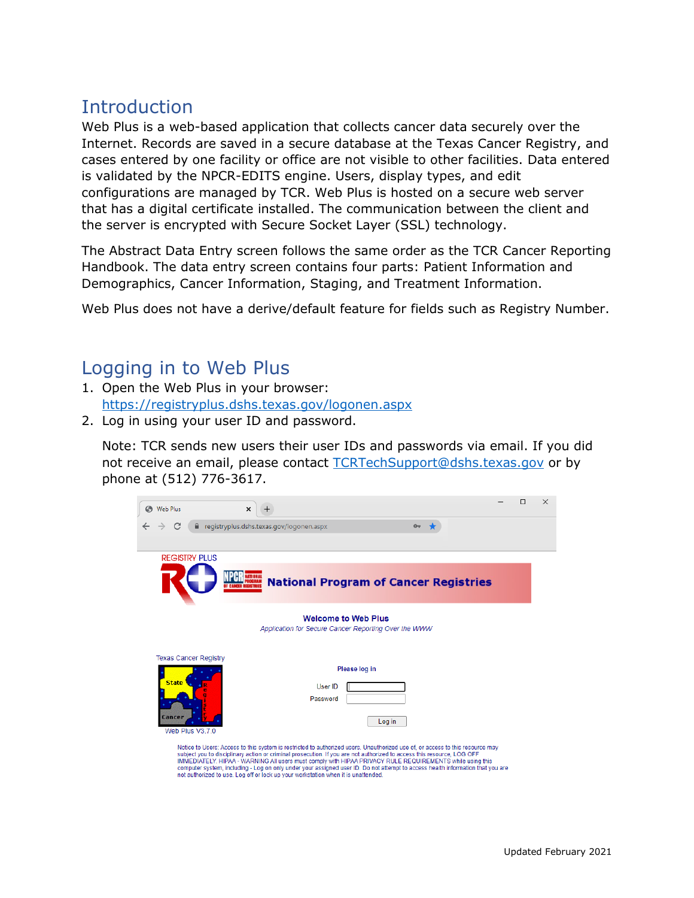# Introduction

Web Plus is a web-based application that collects cancer data securely over the Internet. Records are saved in a secure database at the Texas Cancer Registry, and cases entered by one facility or office are not visible to other facilities. Data entered is validated by the NPCR-EDITS engine. Users, display types, and edit configurations are managed by TCR. Web Plus is hosted on a secure web server that has a digital certificate installed. The communication between the client and the server is encrypted with Secure Socket Layer (SSL) technology.

The Abstract Data Entry screen follows the same order as the TCR Cancer Reporting Handbook. The data entry screen contains four parts: Patient Information and Demographics, Cancer Information, Staging, and Treatment Information.

Web Plus does not have a derive/default feature for fields such as Registry Number.

### Logging in to Web Plus

- 1. Open the Web Plus in your browser: <https://registryplus.dshs.texas.gov/logonen.aspx>
- 2. Log in using your user ID and password.

Note: TCR sends new users their user IDs and passwords via email. If you did not receive an email, please contact [TCRTechSupport@dshs.texas.gov](mailto:TCRTechSupport@dshs.texas.gov) or by phone at (512) 776-3617.

|              | S Web Plus         |                              | $\times$                                                                                                                                                                                                                                                                                                                                                                                                                                                                                                                                                                                   |                                                      |                                              |               |        |          |  |  | $\times$ |
|--------------|--------------------|------------------------------|--------------------------------------------------------------------------------------------------------------------------------------------------------------------------------------------------------------------------------------------------------------------------------------------------------------------------------------------------------------------------------------------------------------------------------------------------------------------------------------------------------------------------------------------------------------------------------------------|------------------------------------------------------|----------------------------------------------|---------------|--------|----------|--|--|----------|
| $\leftarrow$ | C<br>$\rightarrow$ |                              | registryplus.dshs.texas.gov/logonen.aspx                                                                                                                                                                                                                                                                                                                                                                                                                                                                                                                                                   |                                                      |                                              |               |        | $\sigma$ |  |  |          |
|              |                    |                              |                                                                                                                                                                                                                                                                                                                                                                                                                                                                                                                                                                                            |                                                      |                                              |               |        |          |  |  |          |
|              |                    | <b>REGISTRY PLUS</b>         |                                                                                                                                                                                                                                                                                                                                                                                                                                                                                                                                                                                            |                                                      |                                              |               |        |          |  |  |          |
|              |                    |                              |                                                                                                                                                                                                                                                                                                                                                                                                                                                                                                                                                                                            |                                                      | <b>National Program of Cancer Registries</b> |               |        |          |  |  |          |
|              |                    | <b>Texas Cancer Registry</b> |                                                                                                                                                                                                                                                                                                                                                                                                                                                                                                                                                                                            | Application for Secure Cancer Reporting Over the WWW | <b>Welcome to Web Plus</b>                   |               |        |          |  |  |          |
|              |                    |                              |                                                                                                                                                                                                                                                                                                                                                                                                                                                                                                                                                                                            |                                                      |                                              | Please log in |        |          |  |  |          |
|              | <b>State</b>       |                              |                                                                                                                                                                                                                                                                                                                                                                                                                                                                                                                                                                                            |                                                      | User ID                                      |               |        |          |  |  |          |
|              |                    |                              |                                                                                                                                                                                                                                                                                                                                                                                                                                                                                                                                                                                            |                                                      | Password                                     |               |        |          |  |  |          |
|              | Cancer             |                              |                                                                                                                                                                                                                                                                                                                                                                                                                                                                                                                                                                                            |                                                      |                                              |               | Log in |          |  |  |          |
|              |                    | Web Plus V3.7.0              |                                                                                                                                                                                                                                                                                                                                                                                                                                                                                                                                                                                            |                                                      |                                              |               |        |          |  |  |          |
|              |                    |                              | Notice to Users: Access to this system is restricted to authorized users. Unauthorized use of, or access to this resource may<br>subject you to disciplinary action or criminal prosecution. If you are not authorized to access this resource, LOG OFF<br>IMMEDIATELY. HIPAA - WARNING All users must comply with HIPAA PRIVACY RULE REQUIREMENTS while using this<br>computer system, including - Log on only under your assigned user ID. Do not attempt to access health information that you are<br>not authorized to use. Log off or lock up your workstation when it is unattended. |                                                      |                                              |               |        |          |  |  |          |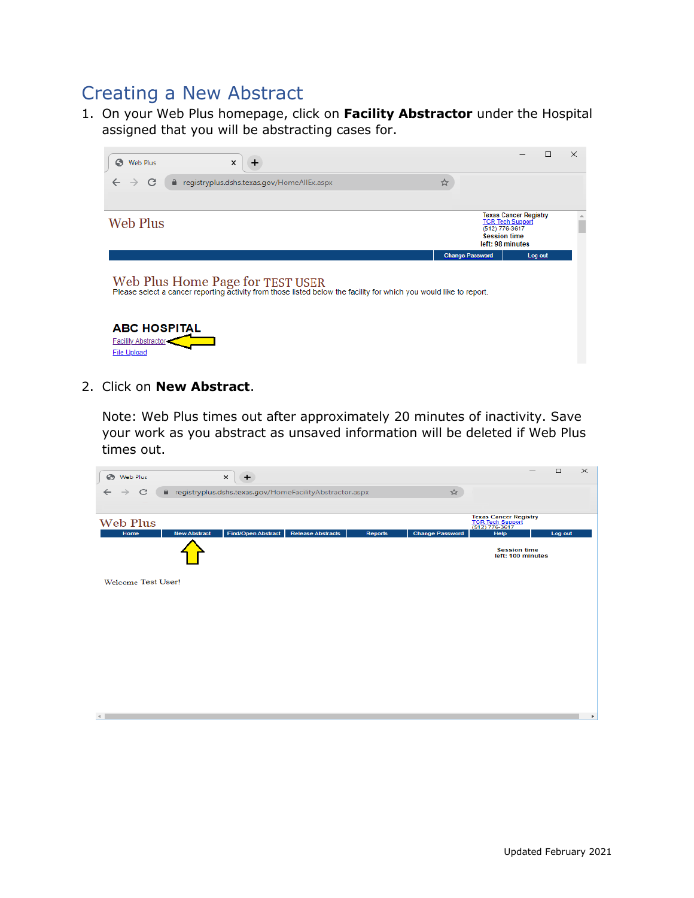# Creating a New Abstract

1. On your Web Plus homepage, click on **Facility Abstractor** under the Hospital assigned that you will be abstracting cases for.



2. Click on **New Abstract**.

Note: Web Plus times out after approximately 20 minutes of inactivity. Save your work as you abstract as unsaved information will be deleted if Web Plus times out.

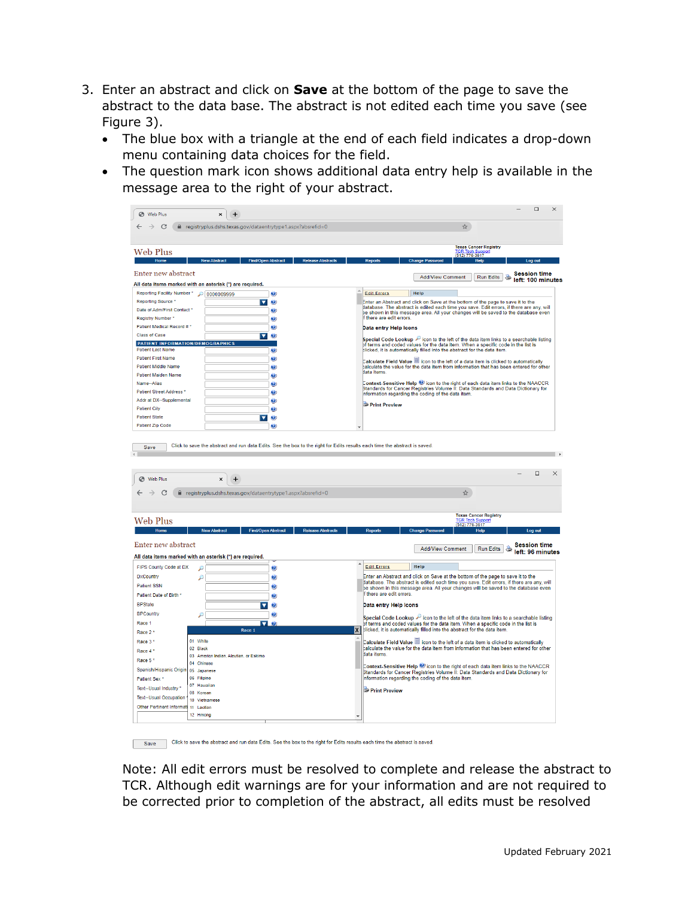- 3. Enter an abstract and click on **Save** at the bottom of the page to save the abstract to the data base. The abstract is not edited each time you save (see Figure 3).
	- The blue box with a triangle at the end of each field indicates a drop-down menu containing data choices for the field.
	- The question mark icon shows additional data entry help is available in the message area to the right of your abstract.

| Web Plus                                                            | $\times$<br>÷                                                |                                                       |                                                                                                                                                              | $\Box$<br>$\times$                                                                                                                                                             |
|---------------------------------------------------------------------|--------------------------------------------------------------|-------------------------------------------------------|--------------------------------------------------------------------------------------------------------------------------------------------------------------|--------------------------------------------------------------------------------------------------------------------------------------------------------------------------------|
|                                                                     |                                                              |                                                       |                                                                                                                                                              |                                                                                                                                                                                |
| C                                                                   | e registryplus.dshs.texas.gov/dataentrytype1.aspx?absrefid=0 |                                                       |                                                                                                                                                              | ☆                                                                                                                                                                              |
|                                                                     |                                                              |                                                       |                                                                                                                                                              |                                                                                                                                                                                |
| <b>Web Plus</b>                                                     |                                                              |                                                       |                                                                                                                                                              | <b>Texas Cancer Registry</b>                                                                                                                                                   |
| Home                                                                | <b>Find/Open Abstract</b>                                    |                                                       |                                                                                                                                                              | 1. rech Support<br>Heln                                                                                                                                                        |
|                                                                     |                                                              |                                                       |                                                                                                                                                              |                                                                                                                                                                                |
| Enter new abstract                                                  |                                                              |                                                       | <b>Add/View Comment</b>                                                                                                                                      | <b>Session time</b><br><b>Run Edits</b><br>left: 100 minutes                                                                                                                   |
|                                                                     | All data items marked with an asterisk (*) are required.     |                                                       |                                                                                                                                                              |                                                                                                                                                                                |
| Reporting Facility Number * 0 0000009999                            |                                                              | Ø                                                     | <b>Edit Errors</b><br>Help                                                                                                                                   |                                                                                                                                                                                |
| Reporting Source *                                                  |                                                              | Ø                                                     | Enter an Abstract and click on Save at the bottom of the page to save it to the                                                                              |                                                                                                                                                                                |
| Date of Adm/First Contact '                                         |                                                              | Ø                                                     |                                                                                                                                                              | database. The abstract is edited each time you save. Edit errors, if there are any, will<br>be shown in this message area. All your changes will be saved to the database even |
| Registry Number*                                                    |                                                              | ◉                                                     | If there are edit errors.                                                                                                                                    |                                                                                                                                                                                |
| Patient Medical Record # *                                          |                                                              | Ø                                                     | Data entry Help Icons                                                                                                                                        |                                                                                                                                                                                |
| Class of Case                                                       | $\overline{\textbf{v}}$                                      | ◉                                                     |                                                                                                                                                              | Special Code Lookup P icon to the left of the data item links to a searchable listing                                                                                          |
| <b>PATIENT INFORMATION/DEMOGRAPHICS</b><br><b>Patient Last Name</b> |                                                              | Ø                                                     | of terms and coded values for the data item. When a specific code in the list is<br>clicked, it is automatically filled into the abstract for the data item. |                                                                                                                                                                                |
| <b>Patient First Name</b>                                           |                                                              | Ø                                                     |                                                                                                                                                              | Calculate Field Value is icon to the left of a data item is clicked to automatically                                                                                           |
| Patient Middle Name                                                 |                                                              | Ø                                                     |                                                                                                                                                              | calculate the value for the data item from information that has been entered for other                                                                                         |
| <b>Patient Maiden Name</b>                                          |                                                              | Ø                                                     | <b>Hata</b> items                                                                                                                                            |                                                                                                                                                                                |
| Name--Alias                                                         |                                                              | $\boldsymbol{\Omega}$                                 |                                                                                                                                                              | Context-Sensitive Help @ icon to the right of each data item links to the NAACCR                                                                                               |
| <b>Patient Street Address *</b>                                     |                                                              | Ø                                                     | nformation regarding the coding of the data item.                                                                                                            | Standards for Cancer Registries Volume II: Data Standards and Data Dictionary for                                                                                              |
| Addr at DX--Supplemental                                            |                                                              | Ø                                                     | Print Preview                                                                                                                                                |                                                                                                                                                                                |
| <b>Patient City</b>                                                 |                                                              | Ø                                                     |                                                                                                                                                              |                                                                                                                                                                                |
| <b>Patient State</b>                                                | $\overline{\mathbf{v}}$                                      | $\mathbf{O}$                                          |                                                                                                                                                              |                                                                                                                                                                                |
| <b>Patient Zip Code</b>                                             |                                                              | Ø                                                     |                                                                                                                                                              |                                                                                                                                                                                |
| $\rightarrow$<br>C                                                  | e registryplus.dshs.texas.gov/dataentrytype1.aspx?absrefid=0 |                                                       |                                                                                                                                                              | ☆                                                                                                                                                                              |
|                                                                     |                                                              |                                                       |                                                                                                                                                              |                                                                                                                                                                                |
|                                                                     |                                                              |                                                       |                                                                                                                                                              | <b>Texas Cancer Registry</b>                                                                                                                                                   |
| Web Plus                                                            |                                                              |                                                       |                                                                                                                                                              | <u>TCR Tech Support</u><br>(512) 776-3617                                                                                                                                      |
| Home                                                                | <b>New Abstract</b>                                          | <b>Find/Open Abstract</b><br><b>Release Abstracts</b> | <b>Reports</b><br><b>Change Password</b>                                                                                                                     | Help<br>Log out                                                                                                                                                                |
| Enter new abstract                                                  |                                                              |                                                       |                                                                                                                                                              | <b>Session time</b>                                                                                                                                                            |
|                                                                     |                                                              |                                                       | <b>Add/View Comment</b>                                                                                                                                      | <b>Run Edits</b><br>Ö<br>left: 96 minutes                                                                                                                                      |
|                                                                     | All data items marked with an asterisk (*) are required.     |                                                       |                                                                                                                                                              |                                                                                                                                                                                |
| FIPS County Code at DX                                              | ھ                                                            | Ø                                                     | <b>Edit Errors</b><br>Help                                                                                                                                   |                                                                                                                                                                                |
| <b>DxCountry</b>                                                    | ھ                                                            | Ø                                                     | Enter an Abstract and click on Save at the bottom of the page to save it to the                                                                              | database. The abstract is edited each time you save. Edit errors, if there are any, will                                                                                       |
| <b>Patient SSN</b>                                                  |                                                              | ◉                                                     |                                                                                                                                                              | be shown in this message area. All your changes will be saved to the database even                                                                                             |
| Patient Date of Birth *                                             |                                                              | 2                                                     | f there are edit errors.                                                                                                                                     |                                                                                                                                                                                |
| <b>RPState</b>                                                      |                                                              | Ω                                                     | Data entry Help Icons                                                                                                                                        |                                                                                                                                                                                |
| <b>BPCountry</b>                                                    | £                                                            | O)                                                    |                                                                                                                                                              | Special Code Lookup icon to the left of the data item links to a searchable listing                                                                                            |
| Race 1                                                              | Race 1                                                       | П0                                                    | of terms and coded values for the data item. When a specific code in the list is                                                                             |                                                                                                                                                                                |
| Race 2'                                                             |                                                              |                                                       | clicked, it is automatically filled into the abstract for the data item.<br>X                                                                                |                                                                                                                                                                                |
| Race 3 <sup>*</sup>                                                 | 01 White                                                     |                                                       |                                                                                                                                                              | Calculate Field Value <sup>■</sup> icon to the left of a data item is clicked to automatically                                                                                 |
| Race 4*                                                             | 02 Black<br>03 Americn Indian, Aleutian, or Eskimo           |                                                       | data items.                                                                                                                                                  | calculate the value for the data item from information that has been entered for other                                                                                         |
| Race 5*                                                             | 04 Chinese                                                   |                                                       |                                                                                                                                                              |                                                                                                                                                                                |
| Spanish/Hispanic Origin                                             | 05 Japanese                                                  |                                                       |                                                                                                                                                              | Context-Sensitive Help @ icon to the right of each data item links to the NAACCR<br>Standards for Cancer Registries Volume II: Data Standards and Data Dictionary for          |
| Patient Sex *                                                       | 06 Filipino                                                  |                                                       | nformation regarding the coding of the data item.                                                                                                            |                                                                                                                                                                                |
| Text--Usual Industry                                                | 07 Hawaiian<br>08 Korean                                     |                                                       | Print Preview                                                                                                                                                |                                                                                                                                                                                |
| <b>Text--Usual Occupation</b>                                       | 10 Vietnamese                                                |                                                       |                                                                                                                                                              |                                                                                                                                                                                |
|                                                                     |                                                              |                                                       |                                                                                                                                                              |                                                                                                                                                                                |
| Other Pertinent Informati 11 Laotian                                |                                                              |                                                       |                                                                                                                                                              |                                                                                                                                                                                |
|                                                                     | 12 Hmono                                                     |                                                       |                                                                                                                                                              |                                                                                                                                                                                |

Save Click to save the abstract and run data Edits. See the box to the right for Edits results each time the abstract is saved.

Note: All edit errors must be resolved to complete and release the abstract to TCR. Although edit warnings are for your information and are not required to be corrected prior to completion of the abstract, all edits must be resolved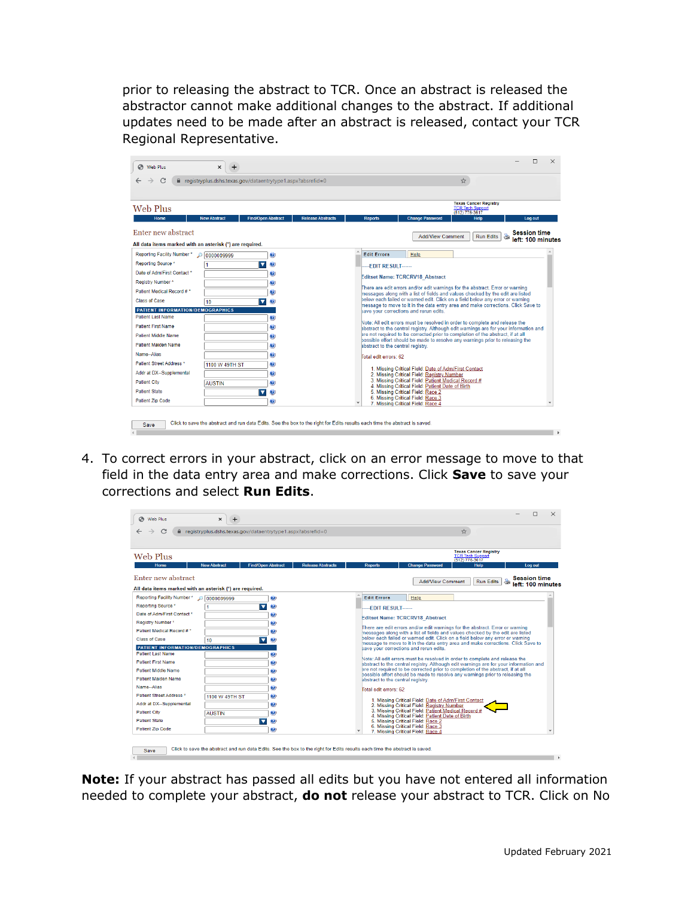prior to releasing the abstract to TCR. Once an abstract is released the abstractor cannot make additional changes to the abstract. If additional updates need to be made after an abstract is released, contact your TCR Regional Representative.

| Web Plus                                                                                | $\mathsf{x}$<br>$+$ |                                                                                                                            |                          |                                                                                                                                                                                                                                                     |                                   |  |                                                                                                                                                                  |   |                                                                           |   | П                                        | × |
|-----------------------------------------------------------------------------------------|---------------------|----------------------------------------------------------------------------------------------------------------------------|--------------------------|-----------------------------------------------------------------------------------------------------------------------------------------------------------------------------------------------------------------------------------------------------|-----------------------------------|--|------------------------------------------------------------------------------------------------------------------------------------------------------------------|---|---------------------------------------------------------------------------|---|------------------------------------------|---|
| С                                                                                       |                     | la registryplus.dshs.texas.gov/dataentrytype1.aspx?absrefid=0                                                              |                          |                                                                                                                                                                                                                                                     |                                   |  |                                                                                                                                                                  | ☆ |                                                                           |   |                                          |   |
|                                                                                         |                     |                                                                                                                            |                          |                                                                                                                                                                                                                                                     |                                   |  |                                                                                                                                                                  |   |                                                                           |   |                                          |   |
| Web Plus                                                                                |                     |                                                                                                                            |                          |                                                                                                                                                                                                                                                     |                                   |  |                                                                                                                                                                  |   | <b>Texas Cancer Registry</b><br><b>TCR Tech Support</b><br>(512) 776-3617 |   |                                          |   |
| Home                                                                                    | <b>New Abstract</b> | <b>Find/Open Abstract</b>                                                                                                  | <b>Release Abstracts</b> |                                                                                                                                                                                                                                                     | <b>Reports</b>                    |  | <b>Change Password</b>                                                                                                                                           |   | <b>Help</b>                                                               |   | Log out                                  |   |
| Enter new abstract                                                                      |                     |                                                                                                                            |                          |                                                                                                                                                                                                                                                     |                                   |  | <b>Add/View Comment</b>                                                                                                                                          |   | <b>Run Edits</b>                                                          | à | <b>Session time</b><br>left: 100 minutes |   |
| All data items marked with an asterisk (*) are required.<br>Reporting Facility Number * |                     | Ø                                                                                                                          |                          |                                                                                                                                                                                                                                                     | <b>Edit Errors</b>                |  | <b>Help</b>                                                                                                                                                      |   |                                                                           |   |                                          |   |
| Reporting Source *                                                                      |                     | $\overline{\mathbf{v}}$<br>Ø                                                                                               |                          |                                                                                                                                                                                                                                                     |                                   |  |                                                                                                                                                                  |   |                                                                           |   |                                          |   |
| Date of Adm/First Contact *                                                             |                     | $\bullet$                                                                                                                  |                          |                                                                                                                                                                                                                                                     | $-FDIT$ RESULT $---$              |  |                                                                                                                                                                  |   |                                                                           |   |                                          |   |
| Registry Number*                                                                        |                     | $\bullet$                                                                                                                  |                          |                                                                                                                                                                                                                                                     |                                   |  | <b>Editset Name: TCRCRV18 Abstract</b>                                                                                                                           |   |                                                                           |   |                                          |   |
| Patient Medical Record #*                                                               |                     | Ø                                                                                                                          |                          |                                                                                                                                                                                                                                                     |                                   |  | There are edit errors and/or edit warnings for the abstract. Error or warning                                                                                    |   |                                                                           |   |                                          |   |
| Class of Case                                                                           | 10                  | $\overline{\phantom{a}}$<br>Ø                                                                                              |                          | messages along with a list of fields and values checked by the edit are listed<br>below each failed or warned edit. Click on a field below any error or warning<br>message to move to it in the data entry area and make corrections. Click Save to |                                   |  |                                                                                                                                                                  |   |                                                                           |   |                                          |   |
| PATIENT INFORMATION/DEMOGRAPHICS                                                        |                     |                                                                                                                            |                          |                                                                                                                                                                                                                                                     |                                   |  | save your corrections and rerun edits.                                                                                                                           |   |                                                                           |   |                                          |   |
| <b>Patient Last Name</b>                                                                |                     | Ø                                                                                                                          |                          |                                                                                                                                                                                                                                                     |                                   |  | Note: All edit errors must be resolved in order to complete and release the                                                                                      |   |                                                                           |   |                                          |   |
| <b>Patient First Name</b>                                                               |                     | Ø                                                                                                                          |                          |                                                                                                                                                                                                                                                     |                                   |  | abstract to the central registry. Although edit warnings are for your information and                                                                            |   |                                                                           |   |                                          |   |
| Patient Middle Name                                                                     |                     | $\bullet$                                                                                                                  |                          |                                                                                                                                                                                                                                                     |                                   |  | are not required to be corrected prior to completion of the abstract, if at all<br>possible effort should be made to resolve any warnings prior to releasing the |   |                                                                           |   |                                          |   |
| <b>Patient Maiden Name</b>                                                              |                     | Ø                                                                                                                          |                          |                                                                                                                                                                                                                                                     | abstract to the central registry. |  |                                                                                                                                                                  |   |                                                                           |   |                                          |   |
| Name-Alias                                                                              |                     | $\bullet$                                                                                                                  |                          |                                                                                                                                                                                                                                                     | Total edit errors: 62             |  |                                                                                                                                                                  |   |                                                                           |   |                                          |   |
| Patient Street Address *                                                                | 1100 W 49TH ST      | ◉                                                                                                                          |                          |                                                                                                                                                                                                                                                     |                                   |  | 1. Missing Critical Field: Date of Adm/First Contact                                                                                                             |   |                                                                           |   |                                          |   |
| Addr at DX--Supplemental                                                                |                     | $\bullet$                                                                                                                  |                          |                                                                                                                                                                                                                                                     |                                   |  | 2. Missing Critical Field: Registry Number                                                                                                                       |   |                                                                           |   |                                          |   |
| <b>Patient City</b>                                                                     | <b>AUSTIN</b>       | 0                                                                                                                          |                          |                                                                                                                                                                                                                                                     |                                   |  | 3. Missing Critical Field: Patient Medical Record #<br>4. Missing Critical Field: Patient Date of Birth                                                          |   |                                                                           |   |                                          |   |
| <b>Patient State</b>                                                                    |                     | ▼<br>Ø                                                                                                                     |                          |                                                                                                                                                                                                                                                     |                                   |  | 5. Missing Critical Field: Race 2                                                                                                                                |   |                                                                           |   |                                          |   |
| <b>Patient Zip Code</b>                                                                 |                     | ❷                                                                                                                          |                          |                                                                                                                                                                                                                                                     |                                   |  | 6. Missing Critical Field: Race 3<br>7. Missing Critical Field: Race 4                                                                                           |   |                                                                           |   |                                          |   |
|                                                                                         |                     |                                                                                                                            |                          |                                                                                                                                                                                                                                                     |                                   |  |                                                                                                                                                                  |   |                                                                           |   |                                          |   |
| Save                                                                                    |                     | Click to save the abstract and run data Edits. See the box to the right for Edits results each time the abstract is saved. |                          |                                                                                                                                                                                                                                                     |                                   |  |                                                                                                                                                                  |   |                                                                           |   |                                          |   |
|                                                                                         |                     |                                                                                                                            |                          |                                                                                                                                                                                                                                                     |                                   |  |                                                                                                                                                                  |   |                                                                           |   |                                          |   |

4. To correct errors in your abstract, click on an error message to move to that field in the data entry area and make corrections. Click **Save** to save your corrections and select **Run Edits**.



**Note:** If your abstract has passed all edits but you have not entered all information needed to complete your abstract, **do not** release your abstract to TCR. Click on No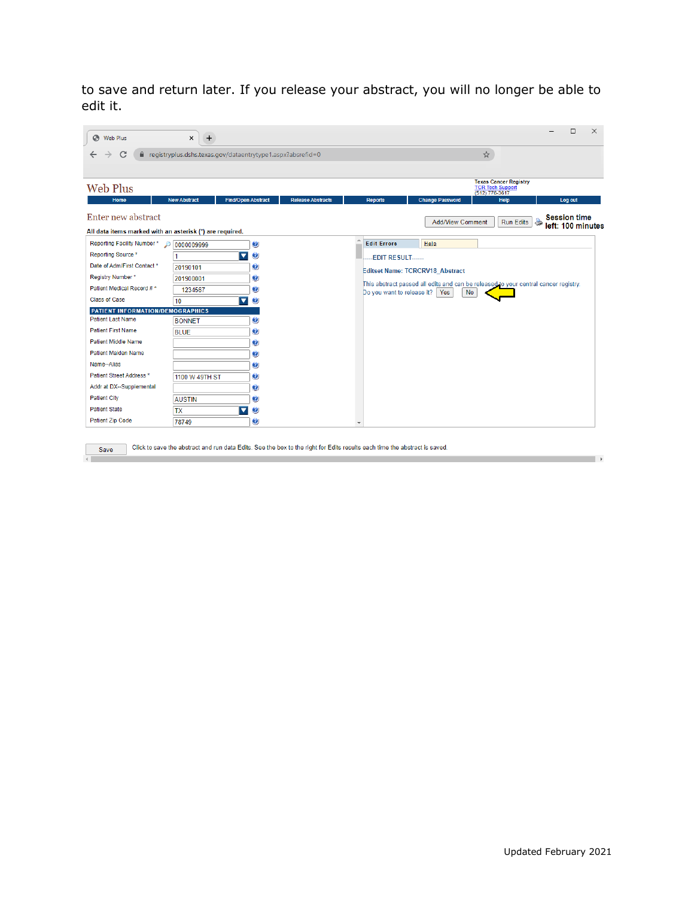to save and return later. If you release your abstract, you will no longer be able to edit it.

| C<br>$\leftarrow$                                        |                     | la registryplus.dshs.texas.gov/dataentrytype1.aspx?absrefid=0 |                          |                         |                                                                                                                         |                         | ☆         |                                                                 |   |                     |
|----------------------------------------------------------|---------------------|---------------------------------------------------------------|--------------------------|-------------------------|-------------------------------------------------------------------------------------------------------------------------|-------------------------|-----------|-----------------------------------------------------------------|---|---------------------|
| Web Plus<br>Home                                         | <b>New Abstract</b> | <b>Find/Open Abstract</b>                                     | <b>Release Abstracts</b> |                         | <b>Reports</b>                                                                                                          | <b>Change Password</b>  |           | <b>Texas Cancer Registry</b><br>TCR Tech Support<br><b>Help</b> |   | Log out             |
| Enter new abstract                                       |                     |                                                               |                          |                         |                                                                                                                         | <b>Add/View Comment</b> |           | <b>Run Edits</b>                                                | 8 | <b>Session time</b> |
| All data items marked with an asterisk (*) are required. |                     |                                                               |                          |                         |                                                                                                                         |                         |           |                                                                 |   | left: 100 minutes   |
| Reporting Facility Number*                               | $\log$ 0000009999   | $\bullet$                                                     |                          |                         | <b>Edit Errors</b>                                                                                                      | Help                    |           |                                                                 |   |                     |
| Reporting Source *                                       |                     | $\overline{\mathbf{v}}$<br>$\bullet$                          |                          |                         | --EDIT RESULT------                                                                                                     |                         |           |                                                                 |   |                     |
| Date of Adm/First Contact *                              | 20190101            | 0                                                             |                          |                         |                                                                                                                         |                         |           |                                                                 |   |                     |
| Registry Number*                                         | 201900001           | Ø                                                             |                          |                         | <b>Editset Name: TCRCRV18 Abstract</b>                                                                                  |                         |           |                                                                 |   |                     |
| Patient Medical Record #*                                | 1234567             | $\bullet$                                                     |                          |                         | This abstract passed all edits and can be released to your central cancer registry.<br>Do you want to release it?   Yes |                         | <b>No</b> |                                                                 |   |                     |
| Class of Case                                            | 10                  | $\blacktriangledown$<br>$\bullet$                             |                          |                         |                                                                                                                         |                         |           |                                                                 |   |                     |
| PATIENT INFORMATION/DEMOGRAPHICS                         |                     |                                                               |                          |                         |                                                                                                                         |                         |           |                                                                 |   |                     |
| <b>Patient Last Name</b>                                 | <b>BONNET</b>       | $\bullet$                                                     |                          |                         |                                                                                                                         |                         |           |                                                                 |   |                     |
| <b>Patient First Name</b>                                | <b>BLUE</b>         | O                                                             |                          |                         |                                                                                                                         |                         |           |                                                                 |   |                     |
| Patient Middle Name                                      |                     | $\bullet$                                                     |                          |                         |                                                                                                                         |                         |           |                                                                 |   |                     |
| <b>Patient Maiden Name</b>                               |                     | O                                                             |                          |                         |                                                                                                                         |                         |           |                                                                 |   |                     |
| Name-Alias                                               |                     | 0                                                             |                          |                         |                                                                                                                         |                         |           |                                                                 |   |                     |
| Patient Street Address *                                 | 1100 W 49TH ST      | O                                                             |                          |                         |                                                                                                                         |                         |           |                                                                 |   |                     |
| Addr at DX--Supplemental                                 |                     | $\bm{v}$                                                      |                          |                         |                                                                                                                         |                         |           |                                                                 |   |                     |
| <b>Patient City</b>                                      | <b>AUSTIN</b>       | $\bullet$                                                     |                          |                         |                                                                                                                         |                         |           |                                                                 |   |                     |
| <b>Patient State</b>                                     | <b>TX</b>           | $\bullet$<br>▼                                                |                          |                         |                                                                                                                         |                         |           |                                                                 |   |                     |
| <b>Patient Zip Code</b>                                  | 78749               | 0                                                             |                          | $\overline{\mathbf{v}}$ |                                                                                                                         |                         |           |                                                                 |   |                     |

Save

and the control of the state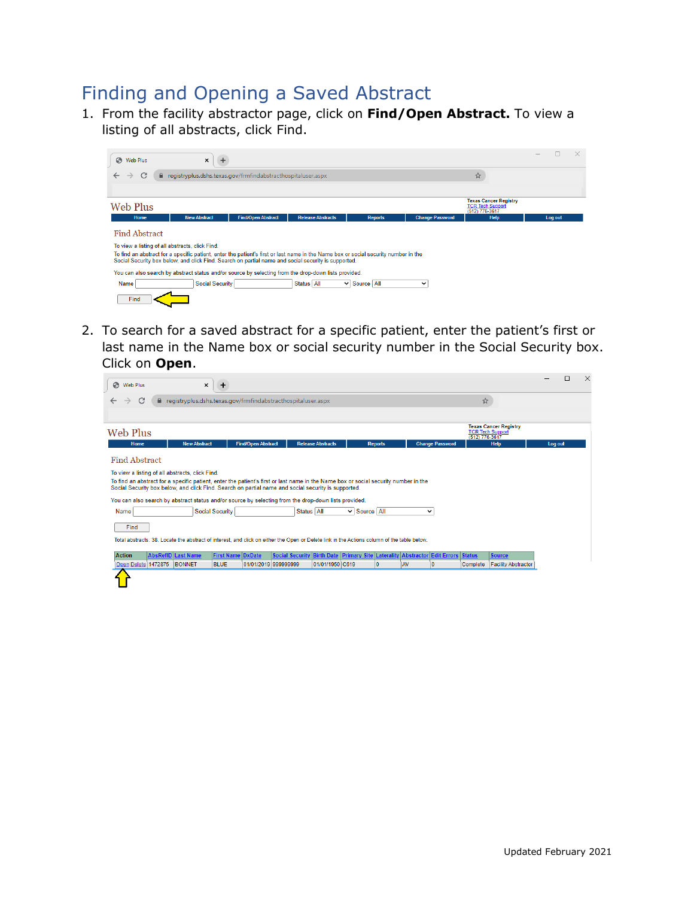# Finding and Opening a Saved Abstract

1. From the facility abstractor page, click on **Find/Open Abstract.** To view a listing of all abstracts, click Find.



2. To search for a saved abstract for a specific patient, enter the patient's first or last name in the Name box or social security number in the Social Security box. Click on **Open**.

| Web Plus                                                                                                                                                                               |                     | $\pmb{\times}$<br>$\div$                                                                                                                    |                           |                                                                                  |                          |                   |                |           |                        |                                           |                              |         | п | $\times$ |
|----------------------------------------------------------------------------------------------------------------------------------------------------------------------------------------|---------------------|---------------------------------------------------------------------------------------------------------------------------------------------|---------------------------|----------------------------------------------------------------------------------|--------------------------|-------------------|----------------|-----------|------------------------|-------------------------------------------|------------------------------|---------|---|----------|
| C                                                                                                                                                                                      |                     | eqistryplus.dshs.texas.gov/frmfindabstracthospitaluser.aspx                                                                                 |                           |                                                                                  |                          |                   |                |           |                        | ☆                                         |                              |         |   |          |
|                                                                                                                                                                                        |                     |                                                                                                                                             |                           |                                                                                  |                          |                   |                |           |                        |                                           |                              |         |   |          |
| Web Plus                                                                                                                                                                               |                     |                                                                                                                                             |                           |                                                                                  |                          |                   |                |           |                        | <b>TCR Tech Support</b><br>(512) 776-3617 | <b>Texas Cancer Registry</b> |         |   |          |
| <b>Home</b>                                                                                                                                                                            | <b>New Abstract</b> |                                                                                                                                             | <b>Find/Open Abstract</b> |                                                                                  | <b>Release Abstracts</b> |                   | <b>Reports</b> |           | <b>Change Password</b> |                                           | <b>Help</b>                  | Log out |   |          |
| Find Abstract                                                                                                                                                                          |                     |                                                                                                                                             |                           |                                                                                  |                          |                   |                |           |                        |                                           |                              |         |   |          |
| To view a listing of all abstracts, click Find.<br>To find an abstract for a specific patient, enter the patient's first or last name in the Name box or social security number in the |                     |                                                                                                                                             |                           |                                                                                  |                          |                   |                |           |                        |                                           |                              |         |   |          |
| Social Security box below, and click Find. Search on partial name and social security is supported.                                                                                    |                     |                                                                                                                                             |                           |                                                                                  |                          |                   |                |           |                        |                                           |                              |         |   |          |
| You can also search by abstract status and/or source by selecting from the drop-down lists provided.                                                                                   |                     |                                                                                                                                             |                           |                                                                                  |                          |                   |                |           |                        |                                           |                              |         |   |          |
| Name                                                                                                                                                                                   |                     | <b>Social Security</b>                                                                                                                      |                           | Status All                                                                       |                          | $\vee$ Source All |                | v         |                        |                                           |                              |         |   |          |
| Find                                                                                                                                                                                   |                     |                                                                                                                                             |                           |                                                                                  |                          |                   |                |           |                        |                                           |                              |         |   |          |
|                                                                                                                                                                                        |                     | Total abstracts: 38. Locate the abstract of interest, and click on either the Open or Delete link in the Actions column of the table below. |                           |                                                                                  |                          |                   |                |           |                        |                                           |                              |         |   |          |
| <b>Action</b>                                                                                                                                                                          | AbsRefID Last Name  | <b>First Name DxDate</b>                                                                                                                    |                           | Social Security Birth Date Primary Site Laterality Abstractor Edit Errors Status |                          |                   |                |           |                        |                                           | <b>Source</b>                |         |   |          |
| Open Delete 1472875                                                                                                                                                                    | <b>BONNET</b>       | <b>BLUE</b>                                                                                                                                 | 01/01/2019 999999999      |                                                                                  | 01/01/1950 C619          |                   | $\overline{0}$ | <b>AV</b> | 10                     | Complete                                  | <b>Facility Abstractor</b>   |         |   |          |
|                                                                                                                                                                                        |                     |                                                                                                                                             |                           |                                                                                  |                          |                   |                |           |                        |                                           |                              |         |   |          |
|                                                                                                                                                                                        |                     |                                                                                                                                             |                           |                                                                                  |                          |                   |                |           |                        |                                           |                              |         |   |          |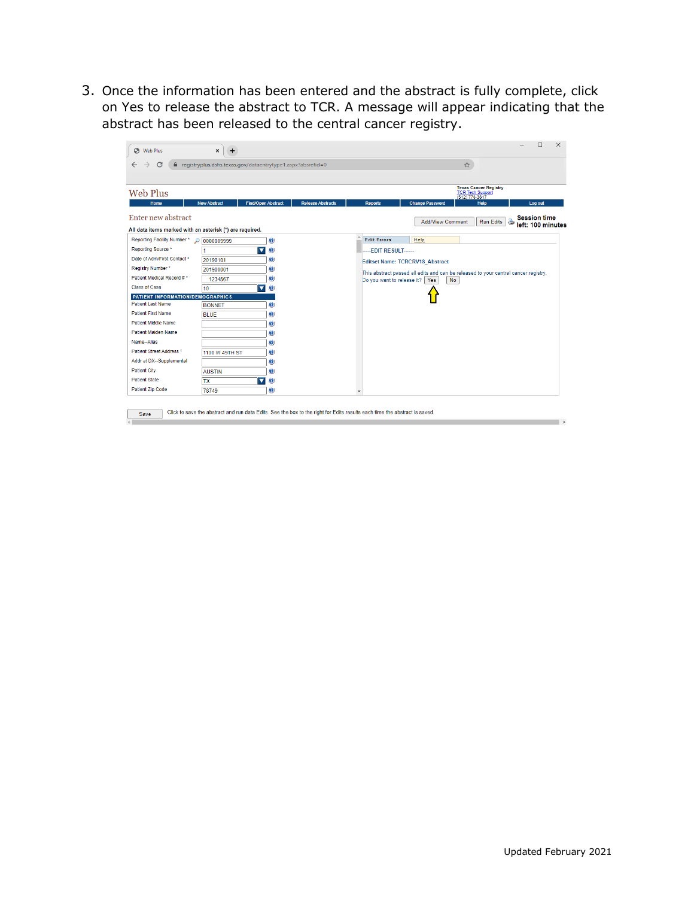3. Once the information has been entered and the abstract is fully complete, click on Yes to release the abstract to TCR. A message will appear indicating that the abstract has been released to the central cancer registry.

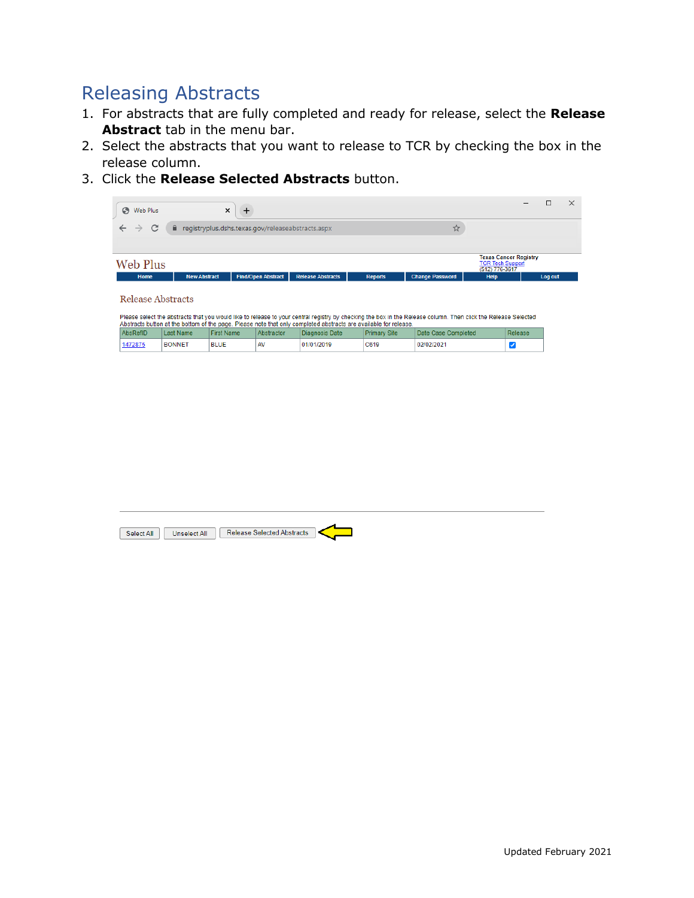# Releasing Abstracts

- 1. For abstracts that are fully completed and ready for release, select the **Release Abstract** tab in the menu bar.
- 2. Select the abstracts that you want to release to TCR by checking the box in the release column.
- 3. Click the **Release Selected Abstracts** button.



Please select the abstracts that you would like to release to your central registry by checking the box in the Release column. Then click the Release Selected

| would be available to be a memory of the part. These that that will completed about the available for release, |               |                   |            |                |                     |                     |         |  |  |  |
|----------------------------------------------------------------------------------------------------------------|---------------|-------------------|------------|----------------|---------------------|---------------------|---------|--|--|--|
| AbsRefID                                                                                                       | Last Name     | <b>First Name</b> | Abstractor | Diagnosis Date | <b>Primary Site</b> | Date Case Completed | Release |  |  |  |
| 1472875                                                                                                        | <b>BONNET</b> | <b>BLUE</b>       |            | 01/01/2019     | C619                | 02/02/2021          |         |  |  |  |

| Select All | Unselect All | <b>Release Selected Abstracts</b> |  |
|------------|--------------|-----------------------------------|--|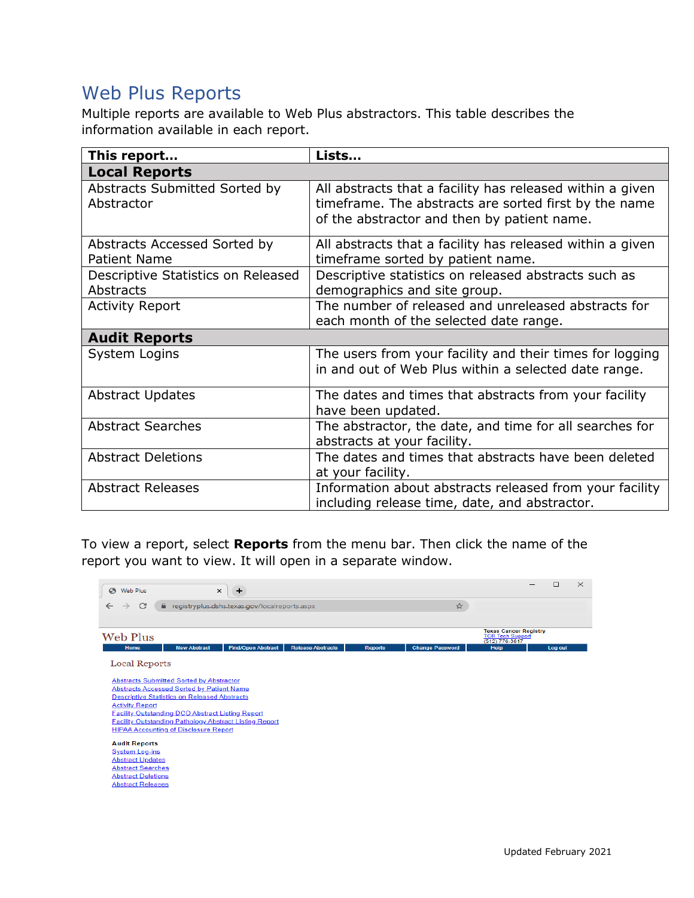# Web Plus Reports

Multiple reports are available to Web Plus abstractors. This table describes the information available in each report.

| This report                                         | Lists                                                                                                                                                             |
|-----------------------------------------------------|-------------------------------------------------------------------------------------------------------------------------------------------------------------------|
| <b>Local Reports</b>                                |                                                                                                                                                                   |
| Abstracts Submitted Sorted by<br>Abstractor         | All abstracts that a facility has released within a given<br>timeframe. The abstracts are sorted first by the name<br>of the abstractor and then by patient name. |
| Abstracts Accessed Sorted by<br><b>Patient Name</b> | All abstracts that a facility has released within a given<br>timeframe sorted by patient name.                                                                    |
| Descriptive Statistics on Released<br>Abstracts     | Descriptive statistics on released abstracts such as<br>demographics and site group.                                                                              |
| <b>Activity Report</b>                              | The number of released and unreleased abstracts for<br>each month of the selected date range.                                                                     |
| <b>Audit Reports</b>                                |                                                                                                                                                                   |
| System Logins                                       | The users from your facility and their times for logging<br>in and out of Web Plus within a selected date range.                                                  |
| <b>Abstract Updates</b>                             | The dates and times that abstracts from your facility<br>have been updated.                                                                                       |
| <b>Abstract Searches</b>                            | The abstractor, the date, and time for all searches for<br>abstracts at your facility.                                                                            |
| <b>Abstract Deletions</b>                           | The dates and times that abstracts have been deleted<br>at your facility.                                                                                         |
| <b>Abstract Releases</b>                            | Information about abstracts released from your facility<br>including release time, date, and abstractor.                                                          |

To view a report, select **Reports** from the menu bar. Then click the name of the report you want to view. It will open in a separate window.

| S Web Plus<br>$\times$<br>+                                                                             |                          |                |                        |                                                                           | п       | $\times$ |
|---------------------------------------------------------------------------------------------------------|--------------------------|----------------|------------------------|---------------------------------------------------------------------------|---------|----------|
| C<br>e registryplus.dshs.texas.gov/localreports.aspx<br>$\rightarrow$                                   |                          |                | ☆                      |                                                                           |         |          |
|                                                                                                         |                          |                |                        |                                                                           |         |          |
| Web Plus                                                                                                |                          |                |                        | <b>Texas Cancer Registry</b><br><b>TCR Tech Support</b><br>(512) 776-3617 |         |          |
| <b>Find/Open Abstract</b><br><b>New Abstract</b><br>Home                                                | <b>Release Abstracts</b> | <b>Reports</b> | <b>Change Password</b> | <b>Help</b>                                                               | Log out |          |
| <b>Local Reports</b>                                                                                    |                          |                |                        |                                                                           |         |          |
| <b>Abstracts Submitted Sorted by Abstractor</b>                                                         |                          |                |                        |                                                                           |         |          |
| <b>Abstracts Accessed Sorted by Patient Name</b><br><b>Descriptive Statistics on Released Abstracts</b> |                          |                |                        |                                                                           |         |          |
| <b>Activity Report</b>                                                                                  |                          |                |                        |                                                                           |         |          |
| <b>Facility Outstanding DCO Abstract Listing Report</b>                                                 |                          |                |                        |                                                                           |         |          |
| <b>Facility Outstanding Pathology Abstract Listing Report</b>                                           |                          |                |                        |                                                                           |         |          |
| <b>HIPAA Accounting of Disclosure Report</b>                                                            |                          |                |                        |                                                                           |         |          |
| <b>Audit Reports</b>                                                                                    |                          |                |                        |                                                                           |         |          |
| <b>System Log-ins</b>                                                                                   |                          |                |                        |                                                                           |         |          |
| <b>Abstract Updates</b>                                                                                 |                          |                |                        |                                                                           |         |          |
| <b>Abstract Searches</b>                                                                                |                          |                |                        |                                                                           |         |          |
| <b>Abstract Deletions</b>                                                                               |                          |                |                        |                                                                           |         |          |
| <b>Abstract Releases</b>                                                                                |                          |                |                        |                                                                           |         |          |
|                                                                                                         |                          |                |                        |                                                                           |         |          |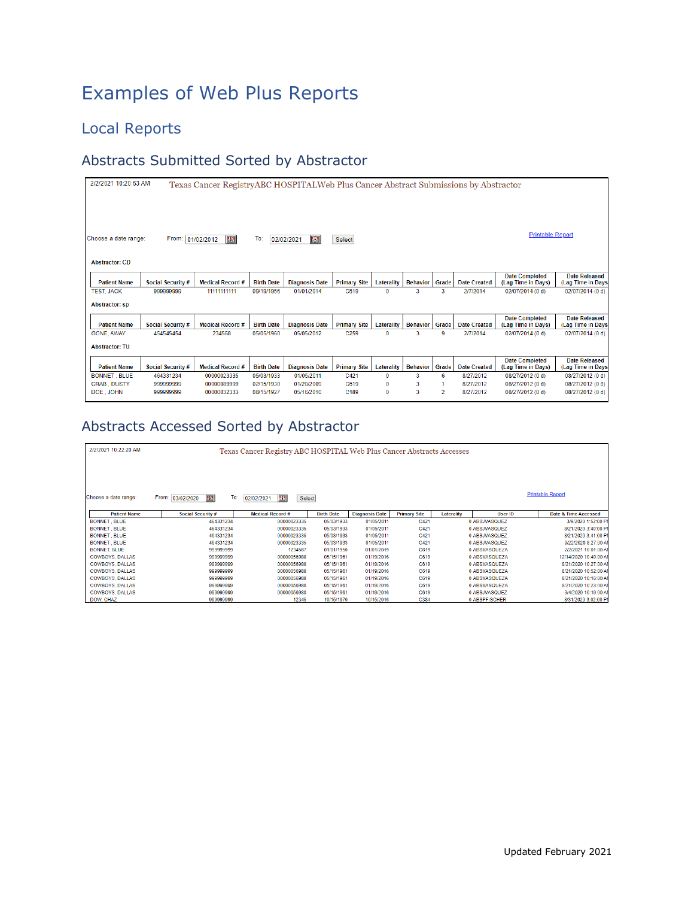# Examples of Web Plus Reports

### Local Reports

#### Abstracts Submitted Sorted by Abstractor

| 2/2/2021 10:20:53 AM<br>Texas Cancer RegistryABC HOSPITALWeb Plus Cancer Abstract Submissions by Abstractor                             |                   |                         |                   |                       |                     |             |                 |       |                     |                                             |                                           |
|-----------------------------------------------------------------------------------------------------------------------------------------|-------------------|-------------------------|-------------------|-----------------------|---------------------|-------------|-----------------|-------|---------------------|---------------------------------------------|-------------------------------------------|
| <b>Printable Report</b><br>四<br>To:<br>Choose a date range:<br>4.3<br>From: 01/02/2012<br>02/02/2021<br>Select<br><b>Abstractor: CD</b> |                   |                         |                   |                       |                     |             |                 |       |                     |                                             |                                           |
|                                                                                                                                         |                   |                         |                   |                       |                     |             |                 |       |                     |                                             |                                           |
| <b>Patient Name</b>                                                                                                                     | Social Security # | <b>Medical Record #</b> | <b>Birth Date</b> | <b>Diagnosis Date</b> | <b>Primary Site</b> | Laterality  | <b>Behavior</b> | Grade | <b>Date Created</b> | <b>Date Completed</b><br>(Lag Time in Days) | <b>Date Released</b><br>(Lag Time in Days |
| <b>TEST, JACK</b>                                                                                                                       | 999999999         | 11111111111             | 09/19/1956        | 01/01/2014            | C619                | $\mathbf 0$ | 3               | 3     | 2/7/2014            | 02/07/2014 (0 d)                            | 02/07/2014 (0 d)                          |
| <b>Abstractor: sp</b>                                                                                                                   |                   |                         |                   |                       |                     |             |                 |       |                     |                                             |                                           |
| <b>Patient Name</b>                                                                                                                     | Social Security # | <b>Medical Record #</b> | <b>Birth Date</b> | <b>Diagnosis Date</b> | <b>Primary Site</b> | Laterality  | <b>Behavior</b> | Grade | <b>Date Created</b> | <b>Date Completed</b><br>(Lag Time in Days) | <b>Date Released</b><br>(Lag Time in Days |
| GONE, AWAY                                                                                                                              | 454545454         | 234568                  | 05/05/1960        | 05/05/2012            | C <sub>259</sub>    | $\mathbf 0$ | 3               | 9     | 2/7/2014            | 02/07/2014 (0 d)                            | 02/07/2014 (0 d)                          |
| <b>Abstractor: TU</b>                                                                                                                   |                   |                         |                   |                       |                     |             |                 |       |                     |                                             |                                           |
| <b>Patient Name</b>                                                                                                                     | Social Security # | <b>Medical Record #</b> | <b>Birth Date</b> | <b>Diagnosis Date</b> | <b>Primary Site</b> | Laterality  | <b>Behavior</b> | Grade | <b>Date Created</b> | <b>Date Completed</b><br>(Lag Time in Days) | <b>Date Released</b><br>(Lag Time in Days |
| <b>BONNET, BLUE</b>                                                                                                                     | 464331234         | 00000023335             | 05/03/1933        | 01/05/2011            | C421                | $\bf{0}$    | з               | 6     | 8/27/2012           | 08/27/2012 (0 d)                            | 08/27/2012 (0 d)                          |
| <b>CRAB, DUSTY</b>                                                                                                                      | 999999999         | 00000089999             | 02/15/1930        | 01/20/2009            | C619                | $\mathbf 0$ | 3               |       | 8/27/2012           | 08/27/2012 (0 d)                            | 08/27/2012 (0 d)                          |
| DOE . JOHN                                                                                                                              | 999999999         | 00000032333             | 08/15/1927        | 05/16/2010            | C189                | $\bf{0}$    | 3               | 2     | 8/27/2012           | 08/27/2012 (0 d)                            | 08/27/2012 (0 d)                          |

### Abstracts Accessed Sorted by Abstractor

| 2/2/2021 10:22:20 AM   | Texas Cancer Registry ABC HOSPITAL Web Plus Cancer Abstracts Accesses |                          |     |                         |                   |                       |                     |            |                |                         |  |
|------------------------|-----------------------------------------------------------------------|--------------------------|-----|-------------------------|-------------------|-----------------------|---------------------|------------|----------------|-------------------------|--|
| Choose a date range:   | From: 03/02/2020                                                      | 聖                        | To: | 1,2<br>02/02/2021       | Select            |                       |                     |            |                | <b>Printable Report</b> |  |
| <b>Patient Name</b>    |                                                                       | <b>Social Security #</b> |     | <b>Medical Record #</b> | <b>Birth Date</b> | <b>Diagnosis Date</b> | <b>Primary Site</b> | Laterality | <b>User ID</b> | Date & Time Accessed    |  |
| <b>BONNET, BLUE</b>    |                                                                       | 464331234                |     | 00000023335             | 05/03/1933        | 01/05/2011            | C421                |            | 0 ABSJVASQUEZ  | 3/9/2020 1:52:00 PM     |  |
| <b>BONNET, BLUE</b>    |                                                                       | 464331234                |     | 00000023335             | 05/03/1933        | 01/05/2011            | C421                |            | 0 ABSJVASQUEZ  | 8/21/2020 3:40:00 PM    |  |
| <b>BONNET, BLUE</b>    |                                                                       | 464331234                |     | 00000023335             | 05/03/1933        | 01/05/2011            | C421                |            | 0 ABSJVASQUEZ  | 8/21/2020 3:41:00 PM    |  |
| <b>BONNET, BLUE</b>    |                                                                       | 464331234                |     | 00000023335             | 05/03/1933        | 01/05/2011            | C421                |            | 0 ABSJVASQUEZ  | 9/22/2020 8:27:00 AM    |  |
| <b>BONNET, BLUE</b>    |                                                                       | 999999999                |     | 1234567                 | 01/01/1950        | 01/01/2019            | C619                |            | 0 ABSVASQUEZA  | 2/2/2021 10:01:00 AM    |  |
| <b>COWBOYS, DALLAS</b> |                                                                       | 999999999                |     | 00000056988             | 05/15/1961        | 01/19/2016            | C619                |            | 0 ABSVASQUEZA  | 12/14/2020 10:49:00 AM  |  |
| <b>COWBOYS, DALLAS</b> |                                                                       | 999999999                |     | 00000056988             | 05/15/1961        | 01/19/2016            | C619                |            | 0 ABSVASQUEZA  | 8/21/2020 10:27:00 AM   |  |
| <b>COWBOYS, DALLAS</b> |                                                                       | 999999999                |     | 00000056988             | 05/15/1961        | 01/19/2016            | C619                |            | 0 ABSVASQUEZA  | 8/21/2020 10:52:00 AM   |  |
| <b>COWBOYS, DALLAS</b> |                                                                       | 999999999                |     | 00000056988             | 05/15/1961        | 01/19/2016            | C619                |            | 0 ABSVASQUEZA  | 8/21/2020 10:16:00 AM   |  |
| <b>COWBOYS, DALLAS</b> |                                                                       | 999999999                |     | 00000056988             | 05/15/1961        | 01/19/2016            | C619                |            | 0 ABSVASQUEZA  | 8/21/2020 10:23:00 AM   |  |
| <b>COWBOYS, DALLAS</b> |                                                                       | 999999999                |     | 00000056988             | 05/15/1961        | 01/19/2016            | C619                |            | 0 ABSJVASQUEZ  | 3/4/2020 10:19:00 AM    |  |
| DOW, CHAZ              |                                                                       | 999999999                |     | 12345                   | 10/15/1970        | 10/15/2016            | C384                |            | 0 ABSPFISCHER  | 8/31/2020 3:02:00 PM    |  |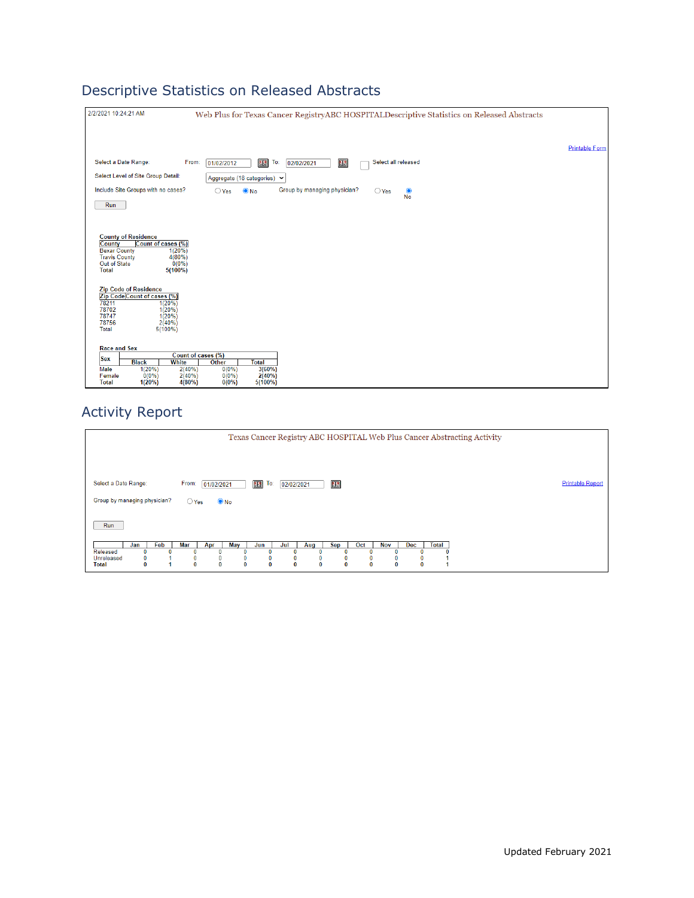# Descriptive Statistics on Released Abstracts

| 2/2/2021 10:24:21 AM                                                                               | Web Plus for Texas Cancer RegistryABC HOSPITALDescriptive Statistics on Released Abstracts                 |                       |
|----------------------------------------------------------------------------------------------------|------------------------------------------------------------------------------------------------------------|-----------------------|
|                                                                                                    |                                                                                                            | <b>Printable Form</b> |
| Select a Date Range:<br>From:                                                                      | Select all released<br>To:<br>图3<br>13<br>01/02/2012<br>02/02/2021                                         |                       |
| Select Level of Site Group Detail:                                                                 | Aggregate (18 categories) v                                                                                |                       |
| Include Site Groups with no cases?                                                                 | Group by managing physician?<br>$\bullet$ No<br>$\bigcirc$ Yes<br>$\bigcirc$ Yes<br>$\bullet$<br><b>No</b> |                       |
| Run                                                                                                |                                                                                                            |                       |
| <b>County of Residence</b>                                                                         |                                                                                                            |                       |
| Count of cases (%)<br>County<br>$1(20\%)$<br><b>Bexar County</b><br><b>Travis County</b><br>4(80%) |                                                                                                            |                       |
| Out of State<br>$0(0\%)$<br><b>Total</b><br>$5(100\%)$                                             |                                                                                                            |                       |
| <b>Zip Code of Residence</b><br>Zip Code Count of cases (%)                                        |                                                                                                            |                       |
| 78211<br>1(20%)<br>78702<br>1(20%)                                                                 |                                                                                                            |                       |
| 78747<br>1(20%)<br>78756<br>2(40%)                                                                 |                                                                                                            |                       |
| <b>Total</b><br>$5(100\%)$                                                                         |                                                                                                            |                       |
| <b>Race and Sex</b>                                                                                |                                                                                                            |                       |
| Count of cases (%)<br><b>Sex</b><br><b>Black</b><br><b>White</b>                                   | Other<br><b>Total</b>                                                                                      |                       |
| 1(20%)<br>2(40%)<br>Male<br>Female<br>$0(0\%)$<br>2(40%)                                           | 3(60%)<br>$0(0\%)$<br>2(40%)<br>$0(0\%)$                                                                   |                       |
| <b>Total</b><br>1(20%)<br>4(80%)                                                                   | $5(100\%)$<br>$0(0\%)$                                                                                     |                       |

### Activity Report

| Texas Cancer Registry ABC HOSPITAL Web Plus Cancer Abstracting Activity                                                                                                                         |                         |  |  |  |
|-------------------------------------------------------------------------------------------------------------------------------------------------------------------------------------------------|-------------------------|--|--|--|
|                                                                                                                                                                                                 |                         |  |  |  |
| 開<br>$E^2$<br>Select a Date Range:<br>To:<br>From:<br>01/02/2021<br>02/02/2021                                                                                                                  | <b>Printable Report</b> |  |  |  |
| Group by managing physician?<br>$\odot$ No<br>$\bigcirc$ Yes                                                                                                                                    |                         |  |  |  |
| Run                                                                                                                                                                                             |                         |  |  |  |
| Feb<br>May<br>Oct<br><b>Nov</b><br>Dec.<br>Mar<br><b>Sep</b><br>Total<br>Jul<br>Jan<br>Apr<br>Jun<br>Aug                                                                                        |                         |  |  |  |
| Released<br>Unreleased<br>0<br>0<br>0<br>0<br>$\bf{0}$<br>$\bf{0}$<br>$\bf{0}$<br>$\bf{0}$<br>0<br>$\mathbf{0}$<br>$\bf{0}$<br>$\bf{0}$<br>$\bf{0}$<br><b>Total</b><br>$\bf{0}$<br>$\mathbf{0}$ |                         |  |  |  |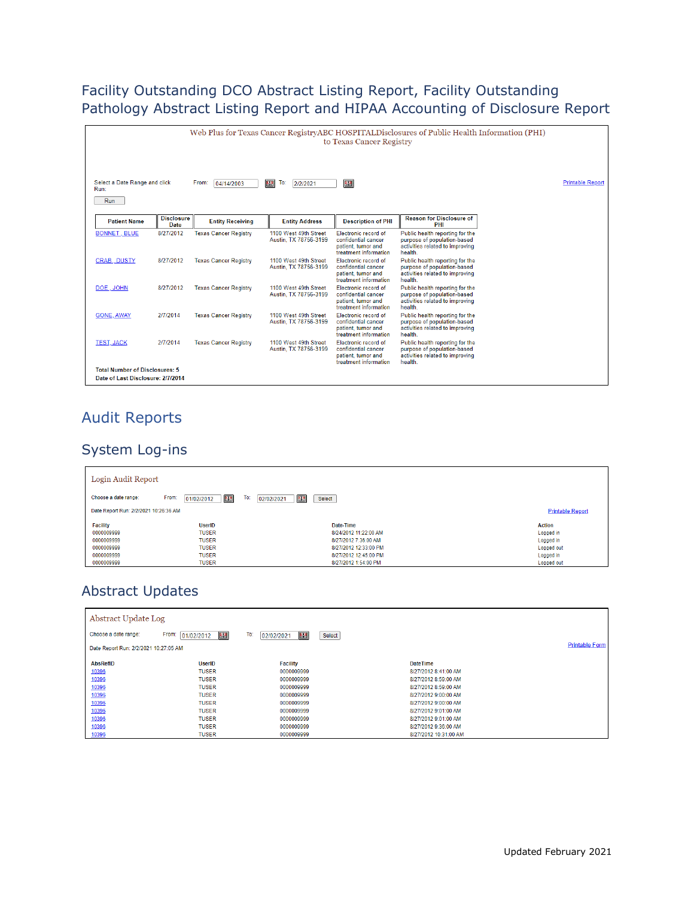#### Facility Outstanding DCO Abstract Listing Report, Facility Outstanding Pathology Abstract Listing Report and HIPAA Accounting of Disclosure Report

| Web Plus for Texas Cancer RegistryABC HOSPITALDisclosures of Public Health Information (PHI)<br>to Texas Cancer Registry |                           |                              |                                                |                                                                                            |                                                                                                              |                         |
|--------------------------------------------------------------------------------------------------------------------------|---------------------------|------------------------------|------------------------------------------------|--------------------------------------------------------------------------------------------|--------------------------------------------------------------------------------------------------------------|-------------------------|
| Select a Date Range and click<br>Run:                                                                                    |                           | From:<br>04/14/2003          | 图<br>To:<br>2/2/2021                           | 图                                                                                          |                                                                                                              | <b>Printable Report</b> |
| Run                                                                                                                      |                           |                              |                                                |                                                                                            |                                                                                                              |                         |
| <b>Patient Name</b>                                                                                                      | <b>Disclosure</b><br>Date | <b>Entity Receiving</b>      | <b>Entity Address</b>                          | <b>Description of PHI</b>                                                                  | <b>Reason for Disclosure of</b><br>PHI                                                                       |                         |
| <b>BONNET, BLUE</b>                                                                                                      | 8/27/2012                 | <b>Texas Cancer Registry</b> | 1100 West 49th Street<br>Austin, TX 78756-3199 | Electronic record of<br>confidential cancer<br>patient, tumor and<br>treatment information | Public health reporting for the<br>purpose of population-based<br>activities related to improving<br>health. |                         |
| <b>CRAB. DUSTY</b>                                                                                                       | 8/27/2012                 | <b>Texas Cancer Registry</b> | 1100 West 49th Street<br>Austin, TX 78756-3199 | Electronic record of<br>confidential cancer<br>patient, tumor and<br>treatment information | Public health reporting for the<br>purpose of population-based<br>activities related to improving<br>health. |                         |
| DOE, JOHN                                                                                                                | 8/27/2012                 | <b>Texas Cancer Registry</b> | 1100 West 49th Street<br>Austin. TX 78756-3199 | Electronic record of<br>confidential cancer<br>patient, tumor and<br>treatment information | Public health reporting for the<br>purpose of population-based<br>activities related to improving<br>health. |                         |
| <b>GONE, AWAY</b>                                                                                                        | 2/7/2014                  | <b>Texas Cancer Registry</b> | 1100 West 49th Street<br>Austin, TX 78756-3199 | Flectronic record of<br>confidential cancer<br>patient, tumor and<br>treatment information | Public health reporting for the<br>purpose of population-based<br>activities related to improving<br>health. |                         |
| <b>TEST, JACK</b>                                                                                                        | 2/7/2014                  | <b>Texas Cancer Registry</b> | 1100 West 49th Street<br>Austin, TX 78756-3199 | Electronic record of<br>confidential cancer<br>patient, tumor and<br>treatment information | Public health reporting for the<br>purpose of population-based<br>activities related to improving<br>health. |                         |
| <b>Total Number of Disclosures: 5</b><br>Date of Last Disclosure: 2/7/2014                                               |                           |                              |                                                |                                                                                            |                                                                                                              |                         |

### Audit Reports

#### System Log-ins

| Login Audit Report                    |                                 |                           |                         |
|---------------------------------------|---------------------------------|---------------------------|-------------------------|
| Choose a date range:                  | 图<br>From:<br>To:<br>01/02/2012 | 照<br>02/02/2021<br>Select |                         |
| Date Report Run: 2/2/2021 10:26:36 AM |                                 |                           | <b>Printable Report</b> |
| <b>Facility</b>                       | <b>UserID</b>                   | Date-Time                 | <b>Action</b>           |
| 0000009999                            | <b>TUSER</b>                    | 8/24/2012 11:22:00 AM     | Logged in               |
| 0000009999                            | <b>TUSER</b>                    | 8/27/2012 7:36:00 AM      | Logged in               |
| 0000009999                            | <b>TUSER</b>                    | 8/27/2012 12:33:00 PM     | Logged out              |
| 0000009999                            | <b>TUSER</b>                    | 8/27/2012 12:45:00 PM     | Logged in               |
| 0000009999                            | <b>TUSER</b>                    | 8/27/2012 1:54:00 PM      | Logged out              |

#### Abstract Updates

| Abstract Update Log                   |                          |                        |                       |                       |
|---------------------------------------|--------------------------|------------------------|-----------------------|-----------------------|
| Choose a date range:                  | 图<br>From:<br>01/02/2012 | To:<br>題<br>02/02/2021 | Select                |                       |
| Date Report Run: 2/2/2021 10:27:05 AM |                          |                        |                       | <b>Printable Form</b> |
| <b>AbsRefID</b>                       | <b>UserID</b>            | <b>Facility</b>        | <b>DateTime</b>       |                       |
| 10396                                 | <b>TUSER</b>             | 0000009999             | 8/27/2012 8:41:00 AM  |                       |
| 10396                                 | <b>TUSER</b>             | 0000009999             | 8/27/2012 8:59:00 AM  |                       |
| 10396                                 | <b>TUSER</b>             | 0000009999             | 8/27/2012 8:59:00 AM  |                       |
| 10396                                 | <b>TUSER</b>             | 0000009999             | 8/27/2012 9:00:00 AM  |                       |
| 10396                                 | <b>TUSER</b>             | 0000009999             | 8/27/2012 9:00:00 AM  |                       |
| 10396                                 | <b>TUSER</b>             | 0000009999             | 8/27/2012 9:01:00 AM  |                       |
| 10396                                 | <b>TUSER</b>             | 0000009999             | 8/27/2012 9:01:00 AM  |                       |
| 10396                                 | <b>TUSER</b>             | 0000009999             | 8/27/2012 9:36:00 AM  |                       |
| 10396                                 | <b>TUSER</b>             | 0000009999             | 8/27/2012 10:31:00 AM |                       |